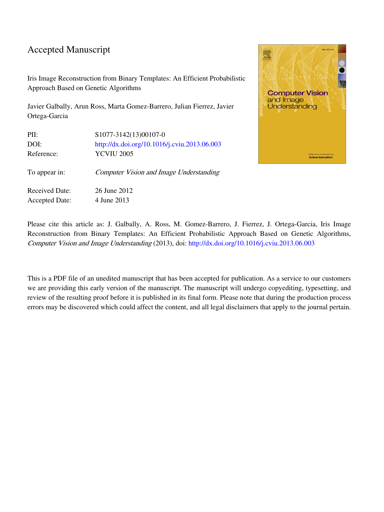### Accepted Manuscript

Iris Image Reconstruction from Binary Templates: An Efficient Probabilistic Approach Based on Genetic Algorithms

Javier Galbally, Arun Ross, Marta Gomez-Barrero, Julian Fierrez, Javier Ortega-Garcia

| PII:                  | S1077-3142(13)00107-0                          |
|-----------------------|------------------------------------------------|
| DOI:                  | http://dx.doi.org/10.1016/j.cviu.2013.06.003   |
| Reference:            | <b>YCVIU 2005</b>                              |
| To appear in:         | <b>Computer Vision and Image Understanding</b> |
| <b>Received Date:</b> | 26 June 2012                                   |
| <b>Accepted Date:</b> | 4 June 2013                                    |



Please cite this article as: J. Galbally, A. Ross, M. Gomez-Barrero, J. Fierrez, J. Ortega-Garcia, Iris Image Reconstruction from Binary Templates: An Efficient Probabilistic Approach Based on Genetic Algorithms, Computer Vision and Image Understanding (2013), doi: [http://dx.doi.org/10.1016/j.cviu.2013.06.003](http://dx.doi.org/http://dx.doi.org/10.1016/j.cviu.2013.06.003)

This is a PDF file of an unedited manuscript that has been accepted for publication. As a service to our customers we are providing this early version of the manuscript. The manuscript will undergo copyediting, typesetting, and review of the resulting proof before it is published in its final form. Please note that during the production process errors may be discovered which could affect the content, and all legal disclaimers that apply to the journal pertain.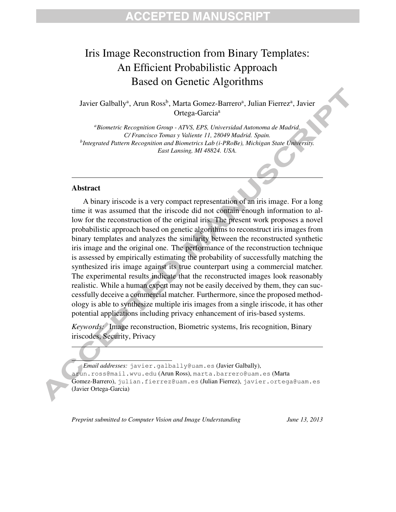## **CCEPTED MANUSCRIPT**

# Iris Image Reconstruction from Binary Templates: An Efficient Probabilistic Approach Based on Genetic Algorithms

Javier Galbally<sup>a</sup>, Arun Ross<sup>b</sup>, Marta Gomez-Barrero<sup>a</sup>, Julian Fierrez<sup>a</sup>, Javier Ortega-Garcia<sup>a</sup>

*<sup>a</sup>Biometric Recognition Group - ATVS, EPS, Universidad Autonoma de Madrid. C/ Francisco Tomas y Valiente 11, 28049 Madrid. Spain. b Integrated Pattern Recognition and Biometrics Lab (i-PRoBe), Michigan State University. East Lansing, MI 48824. USA.*

#### Abstract

A binary iriscode is a very compact representation of an iris image. For a long time it was assumed that the iriscode did not contain enough information to allow for the reconstruction of the original iris. The present work proposes a novel probabilistic approach based on genetic algorithms to reconstruct iris images from binary templates and analyzes the similarity between the reconstructed synthetic iris image and the original one. The performance of the reconstruction technique is assessed by empirically estimating the probability of successfully matching the synthesized iris image against its true counterpart using a commercial matcher. The experimental results indicate that the reconstructed images look reasonably realistic. While a human expert may not be easily deceived by them, they can successfully deceive a commercial matcher. Furthermore, since the proposed methodology is able to synthesize multiple iris images from a single iriscode, it has other potential applications including privacy enhancement of iris-based systems.

*Keywords:* Image reconstruction, Biometric systems, Iris recognition, Binary iriscodes, Security, Privacy

*Email addresses:* javier.galbally@uam.es (Javier Galbally), arun.ross@mail.wvu.edu (Arun Ross), marta.barrero@uam.es (Marta Gomez-Barrero), julian.fierrez@uam.es (Julian Fierrez), javier.ortega@uam.es (Javier Ortega-Garcia)

*Preprint submitted to Computer Vision and Image Understanding June 13, 2013*